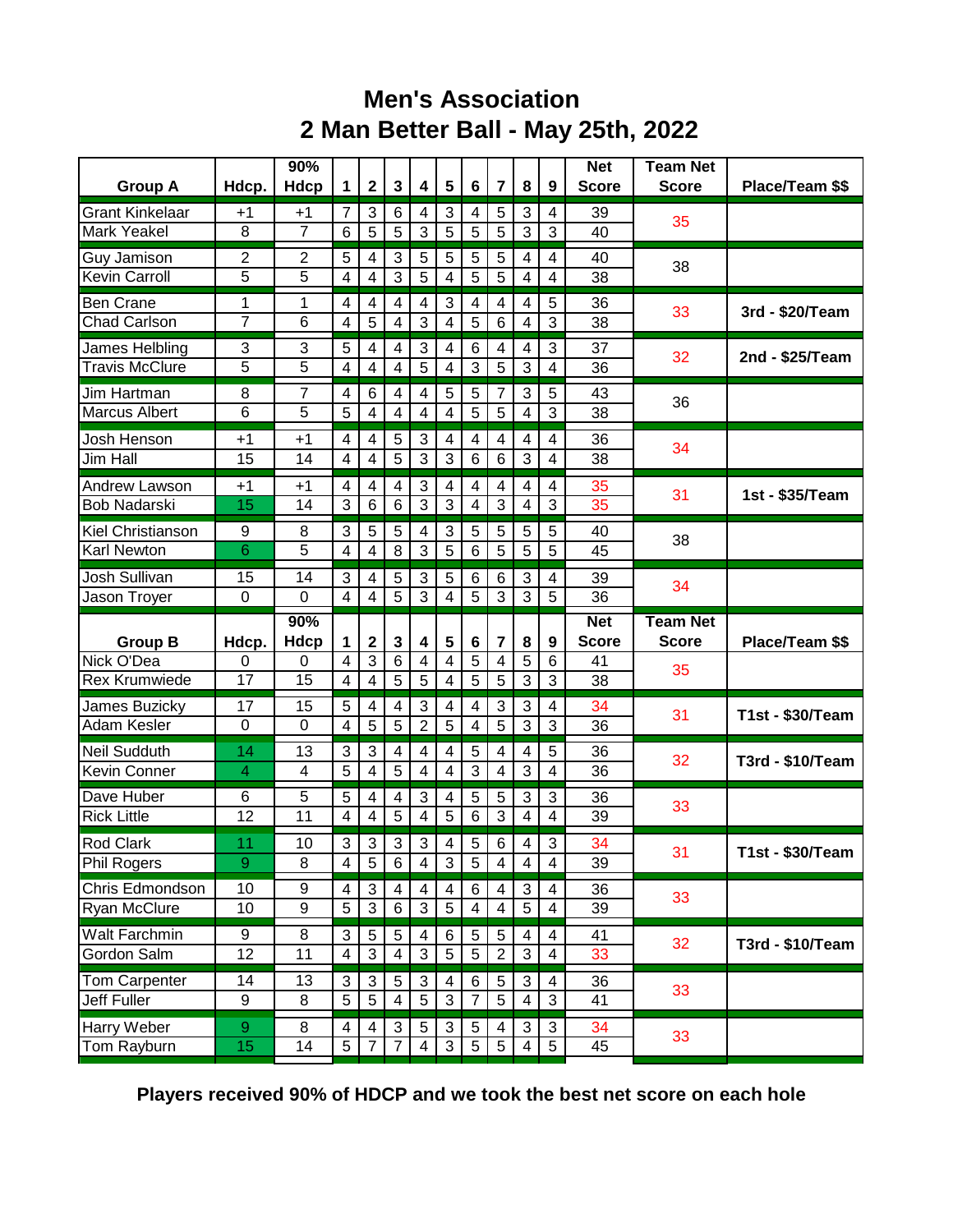## **Men's Association 2 Man Better Ball - May 25th, 2022**

| <b>Group A</b>                         | Hdcp.          | 90%<br>Hdcp          | $\blacktriangleleft$    | $\mathbf 2$             | $\mathbf{3}$            | 4                         | 5              | 6                       | $\overline{7}$          | 8                   | 9                            | <b>Net</b><br><b>Score</b> | <b>Team Net</b><br><b>Score</b> | Place/Team \$\$         |
|----------------------------------------|----------------|----------------------|-------------------------|-------------------------|-------------------------|---------------------------|----------------|-------------------------|-------------------------|---------------------|------------------------------|----------------------------|---------------------------------|-------------------------|
| <b>Grant Kinkelaar</b>                 |                |                      |                         |                         |                         |                           |                |                         |                         |                     |                              |                            |                                 |                         |
| <b>Mark Yeakel</b>                     | $+1$<br>8      | +1<br>$\overline{7}$ | 7<br>$6\phantom{1}6$    | 3<br>5                  | 6<br>5                  | 4<br>3                    | 3<br>5         | 4<br>5                  | 5<br>5                  | 3<br>3              | 4<br>3                       | 39<br>40                   | 35                              |                         |
| Guy Jamison                            | 2              | $\overline{c}$       | 5                       | 4                       | $\mathbf{3}$            | 5                         | 5              | 5                       | 5                       | 4                   | $\overline{4}$               | 40                         |                                 |                         |
| <b>Kevin Carroll</b>                   | 5              | 5                    | $\overline{4}$          | 4                       | 3                       | 5                         | 4              | 5                       | 5                       | 4                   | $\overline{4}$               | 38                         | 38                              |                         |
| <b>Ben Crane</b>                       | 1              | 1                    | 4                       | 4                       | $\overline{4}$          | 4                         | 3              | 4                       | 4                       | 4                   | 5                            | 36                         |                                 |                         |
| <b>Chad Carlson</b>                    | $\overline{7}$ | $\overline{6}$       | 4                       | $\overline{5}$          | $\overline{\mathbf{4}}$ | $\overline{3}$            | 4              | 5                       | 6                       | 4                   | 3                            | 38                         | 33                              | 3rd - \$20/Team         |
| James Helbling                         | 3              | 3                    | 5                       | 4                       | 4                       | $\ensuremath{\mathsf{3}}$ | 4              | $6\phantom{1}6$         | 4                       | 4                   | 3                            | 37                         | 32                              | 2nd - \$25/Team         |
| <b>Travis McClure</b>                  | 5              | 5                    | 4                       | 4                       | $\overline{4}$          | $\overline{5}$            | 4              | 3                       | $\overline{5}$          | 3                   | $\overline{4}$               | 36                         |                                 |                         |
| Jim Hartman                            | 8              | 7                    | $\overline{4}$          | 6                       | 4                       | 4                         | 5              | 5                       | 7                       | 3                   | 5                            | 43                         | 36                              |                         |
| <b>Marcus Albert</b>                   | 6              | 5                    | 5                       | 4                       | 4                       | $\overline{4}$            | 4              | 5                       | 5                       | 4                   | 3                            | 38                         |                                 |                         |
| Josh Henson                            | $+1$           | $+1$                 | 4                       | 4                       | 5                       | 3                         | 4              | 4                       | 4                       | 4                   | $\overline{4}$               | 36                         | 34                              |                         |
| Jim Hall                               | 15             | 14                   | $\overline{4}$          | $\overline{\mathbf{4}}$ | 5                       | $\overline{3}$            | 3              | 6                       | 6                       | 3                   | $\overline{4}$               | 38                         |                                 |                         |
| Andrew Lawson                          | $+1$           | $+1$                 | $\overline{4}$          | 4                       | $\overline{4}$          | 3                         | 4              | 4                       | 4                       | $\overline{4}$      | $\overline{4}$               | 35                         | 31                              | 1st - \$35/Team         |
| <b>Bob Nadarski</b>                    | 15             | 14                   | 3                       | $\,6$                   | $6\phantom{1}6$         | 3                         | 3              | 4                       | 3                       | $\overline{4}$      | 3                            | 35                         |                                 |                         |
| <b>Kiel Christianson</b>               | 9              | 8                    | 3                       | 5                       | 5                       | 4                         | 3              | 5                       | 5                       | 5                   | 5                            | 40                         | 38                              |                         |
| <b>Karl Newton</b>                     | 6              | 5                    | 4                       | $\overline{\mathbf{4}}$ | 8                       | 3                         | $\overline{5}$ | 6                       | $\overline{5}$          | 5                   | $\overline{5}$               | 45                         |                                 |                         |
| Josh Sullivan                          | 15             | 14                   | 3                       | 4                       | 5                       | 3                         | 5              | 6                       | 6                       | 3                   | 4                            | 39                         | 34                              |                         |
| Jason Troyer                           | 0              | $\Omega$             | 4                       | 4                       | 5                       | 3                         | 4              | 5                       | 3                       | 3                   | 5                            | 36                         |                                 |                         |
|                                        |                |                      |                         |                         |                         |                           |                |                         |                         |                     |                              |                            |                                 |                         |
|                                        |                | 90%                  |                         |                         |                         |                           |                |                         |                         |                     |                              | <b>Net</b>                 | <b>Team Net</b>                 |                         |
| <b>Group B</b>                         | Hdcp.          | <b>Hdcp</b>          | 1                       | 2                       | $\mathbf{3}$            | 4                         | 5              | 6                       | $\overline{7}$          | 8                   | 9                            | <b>Score</b>               | <b>Score</b>                    | Place/Team \$\$         |
| Nick O'Dea                             | 0              | 0                    | $\overline{4}$          | 3                       | 6                       | 4                         | 4              | 5                       | 4                       | 5                   | $6\phantom{1}6$              | 41                         | 35                              |                         |
| <b>Rex Krumwiede</b>                   | 17             | 15                   | 4                       | 4                       | 5                       | 5                         | 4              | $\overline{5}$          | 5                       | 3                   | 3                            | 38                         |                                 |                         |
| James Buzicky                          | 17             | 15                   | 5                       | 4                       | 4                       | 3                         | 4              | 4                       | 3                       | 3                   | 4                            | 34                         | 31                              | <b>T1st - \$30/Team</b> |
| Adam Kesler                            | $\mathbf 0$    | 0                    | $\overline{\mathbf{4}}$ | 5                       | 5                       | $\overline{2}$            | 5              | $\overline{\mathbf{4}}$ | 5                       | 3                   | 3                            | 36                         |                                 |                         |
| <b>Neil Sudduth</b>                    | 14             | 13                   | 3                       | 3                       | 4                       | 4                         | 4              | 5                       | 4                       | 4                   | 5                            | 36                         | 32                              | T3rd - \$10/Team        |
| <b>Kevin Conner</b>                    | $\overline{4}$ | 4                    | 5                       | 4                       | 5                       | 4                         | 4              | $\overline{3}$          | 4                       | 3                   | $\overline{4}$               | 36                         |                                 |                         |
| Dave Huber                             | 6              | 5                    | 5<br>4                  | 4                       | 4                       | 3                         | 4              | 5                       | 5                       | 3<br>4              | 3<br>$\overline{\mathbf{4}}$ | 36                         | 33                              |                         |
| <b>Rick Little</b>                     | 12             | 11                   |                         | 4                       | $\overline{5}$          | $\overline{4}$            | 5              | 6                       | 3                       |                     |                              | 39                         |                                 |                         |
| <b>Rod Clark</b><br><b>Phil Rogers</b> | 11<br>9        | 10<br>8              | 3<br>4                  | 3<br>$\overline{5}$     | 3<br>6                  | 3<br>$\overline{4}$       | 4<br>3         | 5<br>5                  | 6<br>$\overline{4}$     | 4<br>$\overline{4}$ | 3<br>$\overline{4}$          | 34<br>39                   | 31                              | T1st - \$30/Team        |
| Chris Edmondson                        | 10             | 9                    | $\overline{4}$          | 3                       | 4                       | 4                         | 4              | 6                       | $\overline{\mathbf{4}}$ | $\mathbf{3}$        | 4                            | 36                         |                                 |                         |
| Ryan McClure                           | 10             | 9                    | 5                       | $\overline{3}$          | $\,6\,$                 | $\overline{3}$            | $\overline{5}$ | 4                       | $\overline{\mathbf{4}}$ | 5                   | $\overline{\mathbf{4}}$      | $\overline{39}$            | 33                              |                         |
| <b>Walt Farchmin</b>                   | 9              | 8                    | 3                       | $\,$ 5 $\,$             | 5                       | 4                         | 6              | 5                       | 5                       | 4                   | 4                            | 41                         |                                 |                         |
| Gordon Salm                            | 12             | 11                   | $\overline{4}$          | $\overline{3}$          | 4                       | $\overline{3}$            | $\overline{5}$ | $\overline{5}$          | $\overline{2}$          | $\mathbf{3}$        | $\overline{4}$               | 33                         | 32                              | T3rd - \$10/Team        |
| Tom Carpenter                          | 14             | 13                   | 3                       | 3                       | $\sqrt{5}$              | 3                         | 4              | 6                       | 5                       | 3                   | 4                            | 36                         |                                 |                         |
| Jeff Fuller                            | 9              | 8                    | 5                       | $\overline{5}$          | 4                       | $\overline{5}$            | 3              | 7                       | $\overline{5}$          | 4                   | $\mathbf{3}$                 | 41                         | 33                              |                         |
| Harry Weber<br>Tom Rayburn             | 9<br>15        | 8<br>14              | 4<br>5                  | 4                       | $\sqrt{3}$              | 5                         | 3<br>3         | 5<br>5                  | 4<br>$5\phantom{.0}$    | $\sqrt{3}$          | $\sqrt{3}$<br>5              | 34<br>45                   | 33                              |                         |

**Players received 90% of HDCP and we took the best net score on each hole**